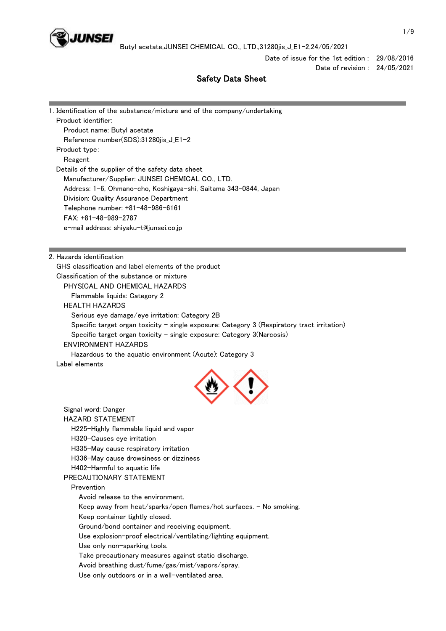

Date of issue for the 1st edition : 29/08/2016 Date of revision : 24/05/2021

# Safety Data Sheet

|                                                                                                                 | 1. Identification of the substance/mixture and of the company/undertaking                   |  |  |                                                                  |
|-----------------------------------------------------------------------------------------------------------------|---------------------------------------------------------------------------------------------|--|--|------------------------------------------------------------------|
| Product identifier:                                                                                             |                                                                                             |  |  |                                                                  |
| Product name: Butyl acetate                                                                                     |                                                                                             |  |  |                                                                  |
| Reference number(SDS):31280jis_J_E1-2                                                                           |                                                                                             |  |  |                                                                  |
| Product type:                                                                                                   |                                                                                             |  |  |                                                                  |
| Reagent<br>Details of the supplier of the safety data sheet<br>Manufacturer/Supplier: JUNSEI CHEMICAL CO., LTD. |                                                                                             |  |  |                                                                  |
|                                                                                                                 |                                                                                             |  |  | Address: 1-6, Ohmano-cho, Koshigaya-shi, Saitama 343-0844, Japan |
|                                                                                                                 |                                                                                             |  |  | Division: Quality Assurance Department                           |
|                                                                                                                 | Telephone number: +81-48-986-6161                                                           |  |  |                                                                  |
| FAX: +81-48-989-2787                                                                                            |                                                                                             |  |  |                                                                  |
|                                                                                                                 | e-mail address: shiyaku-t@junsei.co.jp                                                      |  |  |                                                                  |
|                                                                                                                 |                                                                                             |  |  |                                                                  |
| 2. Hazards identification                                                                                       |                                                                                             |  |  |                                                                  |
|                                                                                                                 | GHS classification and label elements of the product                                        |  |  |                                                                  |
|                                                                                                                 | Classification of the substance or mixture                                                  |  |  |                                                                  |
|                                                                                                                 | PHYSICAL AND CHEMICAL HAZARDS                                                               |  |  |                                                                  |
| Flammable liquids: Category 2<br><b>HEALTH HAZARDS</b>                                                          |                                                                                             |  |  |                                                                  |
|                                                                                                                 | Serious eye damage/eye irritation: Category 2B                                              |  |  |                                                                  |
|                                                                                                                 | Specific target organ toxicity - single exposure: Category 3 (Respiratory tract irritation) |  |  |                                                                  |
|                                                                                                                 | Specific target organ toxicity - single exposure: Category 3(Narcosis)                      |  |  |                                                                  |
| <b>ENVIRONMENT HAZARDS</b>                                                                                      |                                                                                             |  |  |                                                                  |
|                                                                                                                 | Hazardous to the aquatic environment (Acute): Category 3                                    |  |  |                                                                  |
| Label elements                                                                                                  |                                                                                             |  |  |                                                                  |
|                                                                                                                 |                                                                                             |  |  |                                                                  |
|                                                                                                                 |                                                                                             |  |  |                                                                  |
|                                                                                                                 |                                                                                             |  |  |                                                                  |
| Signal word: Danger                                                                                             |                                                                                             |  |  |                                                                  |
| <b>HAZARD STATEMENT</b>                                                                                         |                                                                                             |  |  |                                                                  |
|                                                                                                                 | H225-Highly flammable liquid and vapor                                                      |  |  |                                                                  |
| H320-Causes eye irritation                                                                                      |                                                                                             |  |  |                                                                  |
|                                                                                                                 | H335-May cause respiratory irritation                                                       |  |  |                                                                  |
|                                                                                                                 | H336-May cause drowsiness or dizziness                                                      |  |  |                                                                  |
| H402-Harmful to aquatic life                                                                                    |                                                                                             |  |  |                                                                  |
| PRECAUTIONARY STATEMENT                                                                                         |                                                                                             |  |  |                                                                  |
| Prevention                                                                                                      |                                                                                             |  |  |                                                                  |
|                                                                                                                 | Avoid release to the environment.                                                           |  |  |                                                                  |
|                                                                                                                 | Keep away from heat/sparks/open flames/hot surfaces. - No smoking.                          |  |  |                                                                  |
|                                                                                                                 | Keep container tightly closed.                                                              |  |  |                                                                  |
|                                                                                                                 | Ground/bond container and receiving equipment.                                              |  |  |                                                                  |
|                                                                                                                 | Use explosion-proof electrical/ventilating/lighting equipment.                              |  |  |                                                                  |
|                                                                                                                 | Use only non-sparking tools.                                                                |  |  |                                                                  |
|                                                                                                                 | Take precautionary measures against static discharge.                                       |  |  |                                                                  |
|                                                                                                                 | Avoid breathing dust/fume/gas/mist/vapors/spray.                                            |  |  |                                                                  |

Use only outdoors or in a well-ventilated area.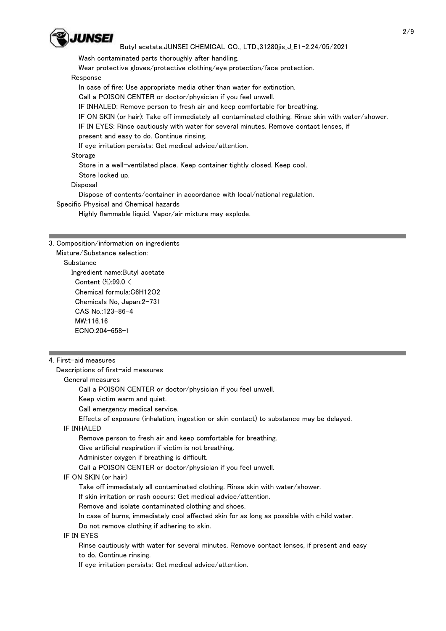

Wash contaminated parts thoroughly after handling.

Wear protective gloves/protective clothing/eye protection/face protection.

## Response

In case of fire: Use appropriate media other than water for extinction.

Call a POISON CENTER or doctor/physician if you feel unwell.

IF INHALED: Remove person to fresh air and keep comfortable for breathing.

IF ON SKIN (or hair): Take off immediately all contaminated clothing. Rinse skin with water/shower.

IF IN EYES: Rinse cautiously with water for several minutes. Remove contact lenses, if

present and easy to do. Continue rinsing.

If eye irritation persists: Get medical advice/attention.

### **Storage**

Store in a well-ventilated place. Keep container tightly closed. Keep cool.

Store locked up.

# Disposal

Dispose of contents/container in accordance with local/national regulation.

Specific Physical and Chemical hazards

Highly flammable liquid. Vapor/air mixture may explode.

## 3. Composition/information on ingredients

Mixture/Substance selection:

## **Substance**

 Ingredient name:Butyl acetate Content (%):99.0 < Chemical formula:C6H12O2 Chemicals No, Japan:2-731 CAS No.:123-86-4 MW:116.16 ECNO:204-658-1

# 4. First-aid measures

Descriptions of first-aid measures

# General measures

Call a POISON CENTER or doctor/physician if you feel unwell.

Keep victim warm and quiet.

Call emergency medical service.

Effects of exposure (inhalation, ingestion or skin contact) to substance may be delayed.

# IF INHALED

Remove person to fresh air and keep comfortable for breathing.

Give artificial respiration if victim is not breathing.

Administer oxygen if breathing is difficult.

Call a POISON CENTER or doctor/physician if you feel unwell.

# IF ON SKIN (or hair)

Take off immediately all contaminated clothing. Rinse skin with water/shower.

If skin irritation or rash occurs: Get medical advice/attention.

Remove and isolate contaminated clothing and shoes.

In case of burns, immediately cool affected skin for as long as possible with child water.

Do not remove clothing if adhering to skin.

IF IN EYES

 Rinse cautiously with water for several minutes. Remove contact lenses, if present and easy to do. Continue rinsing.

If eye irritation persists: Get medical advice/attention.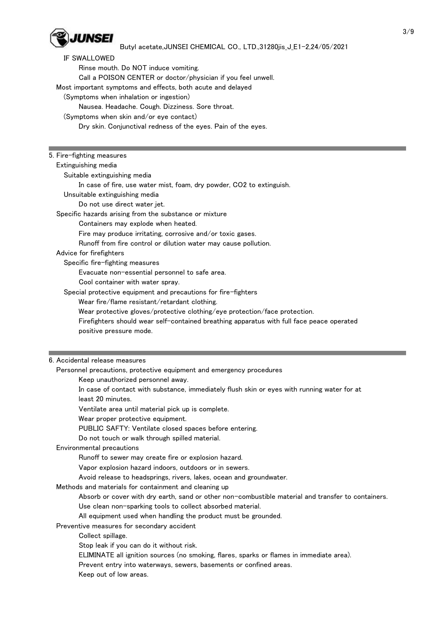

| <b>IF SWALLOWED</b>                                                        |                                                                                                    |
|----------------------------------------------------------------------------|----------------------------------------------------------------------------------------------------|
| Rinse mouth. Do NOT induce vomiting.                                       |                                                                                                    |
| Call a POISON CENTER or doctor/physician if you feel unwell.               |                                                                                                    |
| Most important symptoms and effects, both acute and delayed                |                                                                                                    |
| (Symptoms when inhalation or ingestion)                                    |                                                                                                    |
| Nausea. Headache. Cough. Dizziness. Sore throat.                           |                                                                                                    |
| (Symptoms when skin and/or eye contact)                                    |                                                                                                    |
| Dry skin. Conjunctival redness of the eyes. Pain of the eyes.              |                                                                                                    |
|                                                                            |                                                                                                    |
|                                                                            |                                                                                                    |
| 5. Fire-fighting measures                                                  |                                                                                                    |
| Extinguishing media                                                        |                                                                                                    |
| Suitable extinguishing media                                               |                                                                                                    |
| In case of fire, use water mist, foam, dry powder, CO2 to extinguish.      |                                                                                                    |
| Unsuitable extinguishing media                                             |                                                                                                    |
| Do not use direct water jet.                                               |                                                                                                    |
| Specific hazards arising from the substance or mixture                     |                                                                                                    |
| Containers may explode when heated.                                        |                                                                                                    |
| Fire may produce irritating, corrosive and/or toxic gases.                 |                                                                                                    |
| Runoff from fire control or dilution water may cause pollution.            |                                                                                                    |
| Advice for firefighters                                                    |                                                                                                    |
| Specific fire-fighting measures                                            |                                                                                                    |
| Evacuate non-essential personnel to safe area.                             |                                                                                                    |
| Cool container with water spray.                                           |                                                                                                    |
| Special protective equipment and precautions for fire-fighters             |                                                                                                    |
| Wear fire/flame resistant/retardant clothing.                              |                                                                                                    |
| Wear protective gloves/protective clothing/eye protection/face protection. |                                                                                                    |
|                                                                            |                                                                                                    |
|                                                                            | Firefighters should wear self-contained breathing apparatus with full face peace operated          |
|                                                                            |                                                                                                    |
| positive pressure mode.                                                    |                                                                                                    |
|                                                                            |                                                                                                    |
| 6. Accidental release measures                                             |                                                                                                    |
| Personnel precautions, protective equipment and emergency procedures       |                                                                                                    |
| Keep unauthorized personnel away.                                          |                                                                                                    |
|                                                                            |                                                                                                    |
| least 20 minutes.                                                          | In case of contact with substance, immediately flush skin or eyes with running water for at        |
|                                                                            |                                                                                                    |
| Ventilate area until material pick up is complete.                         |                                                                                                    |
| Wear proper protective equipment.                                          |                                                                                                    |
| PUBLIC SAFTY: Ventilate closed spaces before entering.                     |                                                                                                    |
| Do not touch or walk through spilled material.                             |                                                                                                    |
| Environmental precautions                                                  |                                                                                                    |
| Runoff to sewer may create fire or explosion hazard.                       |                                                                                                    |
| Vapor explosion hazard indoors, outdoors or in sewers.                     |                                                                                                    |
| Avoid release to headsprings, rivers, lakes, ocean and groundwater.        |                                                                                                    |
| Methods and materials for containment and cleaning up                      |                                                                                                    |
|                                                                            | Absorb or cover with dry earth, sand or other non-combustible material and transfer to containers. |
| Use clean non-sparking tools to collect absorbed material.                 |                                                                                                    |
| All equipment used when handling the product must be grounded.             |                                                                                                    |
| Preventive measures for secondary accident                                 |                                                                                                    |
| Collect spillage.                                                          |                                                                                                    |
| Stop leak if you can do it without risk.                                   |                                                                                                    |
|                                                                            | ELIMINATE all ignition sources (no smoking, flares, sparks or flames in immediate area).           |
| Prevent entry into waterways, sewers, basements or confined areas.         |                                                                                                    |
| Keep out of low areas.                                                     |                                                                                                    |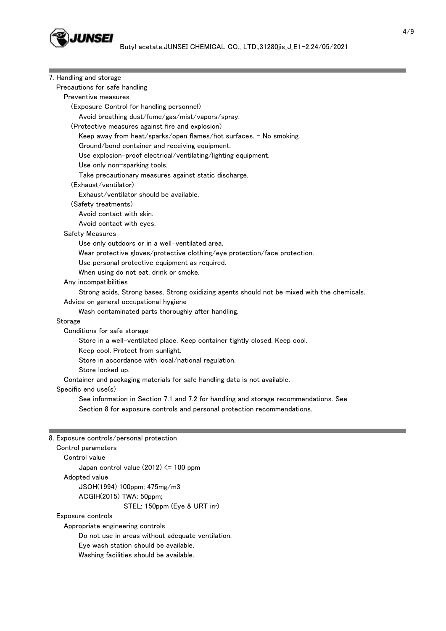

| 7. Handling and storage                                                                     |  |  |
|---------------------------------------------------------------------------------------------|--|--|
| Precautions for safe handling                                                               |  |  |
| Preventive measures                                                                         |  |  |
| (Exposure Control for handling personnel)                                                   |  |  |
| Avoid breathing dust/fume/gas/mist/vapors/spray.                                            |  |  |
| (Protective measures against fire and explosion)                                            |  |  |
| Keep away from heat/sparks/open flames/hot surfaces. - No smoking.                          |  |  |
| Ground/bond container and receiving equipment.                                              |  |  |
| Use explosion-proof electrical/ventilating/lighting equipment.                              |  |  |
| Use only non-sparking tools.                                                                |  |  |
| Take precautionary measures against static discharge.                                       |  |  |
| (Exhaust/ventilator)                                                                        |  |  |
| Exhaust/ventilator should be available.                                                     |  |  |
| (Safety treatments)                                                                         |  |  |
| Avoid contact with skin.                                                                    |  |  |
| Avoid contact with eyes.                                                                    |  |  |
| <b>Safety Measures</b>                                                                      |  |  |
| Use only outdoors or in a well-ventilated area.                                             |  |  |
| Wear protective gloves/protective clothing/eye protection/face protection.                  |  |  |
| Use personal protective equipment as required.                                              |  |  |
| When using do not eat, drink or smoke.                                                      |  |  |
| Any incompatibilities                                                                       |  |  |
| Strong acids, Strong bases, Strong oxidizing agents should not be mixed with the chemicals. |  |  |
| Advice on general occupational hygiene                                                      |  |  |
| Wash contaminated parts thoroughly after handling.                                          |  |  |
| Storage                                                                                     |  |  |
| Conditions for safe storage                                                                 |  |  |
| Store in a well-ventilated place. Keep container tightly closed. Keep cool.                 |  |  |
| Keep cool. Protect from sunlight.                                                           |  |  |
| Store in accordance with local/national regulation.                                         |  |  |
| Store locked up.                                                                            |  |  |
| Container and packaging materials for safe handling data is not available.                  |  |  |
| Specific end use(s)                                                                         |  |  |
| See information in Section 7.1 and 7.2 for handling and storage recommendations. See        |  |  |
|                                                                                             |  |  |
| Section 8 for exposure controls and personal protection recommendations.                    |  |  |
|                                                                                             |  |  |
| 8. Exposure controls/personal protection                                                    |  |  |
| Control parameters                                                                          |  |  |
| Control value                                                                               |  |  |
| Japan control value $(2012) \le 100$ ppm                                                    |  |  |
| Adopted value                                                                               |  |  |
| JSOH(1994) 100ppm; 475mg/m3                                                                 |  |  |
| ACGIH(2015) TWA: 50ppm;                                                                     |  |  |
| STEL: 150ppm (Eye & URT irr)                                                                |  |  |
| Exposure controls                                                                           |  |  |
| Appropriate engineering controls                                                            |  |  |
| Do not use in areas without adequate ventilation.                                           |  |  |
| Eye wash station should be available.                                                       |  |  |
| Washing facilities should be available.                                                     |  |  |
|                                                                                             |  |  |

÷

**Contract Contract** 

**Service State**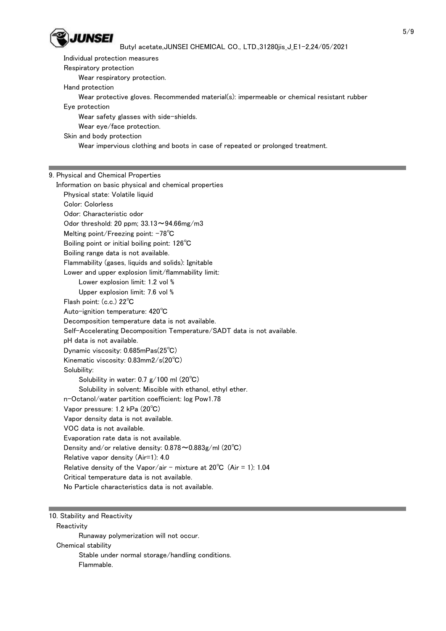

 Individual protection measures Respiratory protection Wear respiratory protection. Hand protection Wear protective gloves. Recommended material(s): impermeable or chemical resistant rubber Eye protection Wear safety glasses with side-shields. Wear eye/face protection. Skin and body protection Wear impervious clothing and boots in case of repeated or prolonged treatment. 9. Physical and Chemical Properties Information on basic physical and chemical properties Physical state: Volatile liquid Color: Colorless Odor: Characteristic odor Odor threshold: 20 ppm;  $33.13 \sim 94.66$ mg/m3 Melting point/Freezing point: -78℃ Boiling point or initial boiling point: 126℃ Boiling range data is not available. Flammability (gases, liquids and solids): Ignitable Lower and upper explosion limit/flammability limit: Lower explosion limit: 1.2 vol % Upper explosion limit: 7.6 vol % Flash point: (c.c.) 22℃ Auto-ignition temperature: 420℃ Decomposition temperature data is not available. Self-Accelerating Decomposition Temperature/SADT data is not available. pH data is not available. Dynamic viscosity: 0.685mPas(25℃) Kinematic viscosity: 0.83mm2/s(20℃) Solubility: Solubility in water: 0.7 g/100 ml (20℃) Solubility in solvent: Miscible with ethanol, ethyl ether. n-Octanol/water partition coefficient: log Pow1.78 Vapor pressure: 1.2 kPa (20℃) Vapor density data is not available. VOC data is not available. Evaporation rate data is not available. Density and/or relative density: 0.878~0.883g/ml (20℃) Relative vapor density (Air=1): 4.0 Relative density of the Vapor/air - mixture at  $20^{\circ}$ C (Air = 1): 1.04 Critical temperature data is not available. No Particle characteristics data is not available.

10. Stability and Reactivity

**Reactivity**  Runaway polymerization will not occur. Chemical stability Stable under normal storage/handling conditions. Flammable.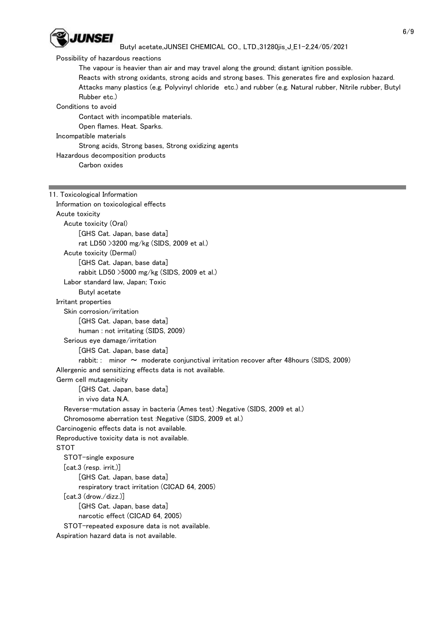

### Possibility of hazardous reactions

The vapour is heavier than air and may travel along the ground; distant ignition possible.

 Reacts with strong oxidants, strong acids and strong bases. This generates fire and explosion hazard. Attacks many plastics (e.g. Polyvinyl chloride etc.) and rubber (e.g. Natural rubber, Nitrile rubber, Butyl Rubber etc.)

### Conditions to avoid

Contact with incompatible materials.

Open flames. Heat. Sparks.

# Incompatible materials

Strong acids, Strong bases, Strong oxidizing agents

Hazardous decomposition products

Carbon oxides

# 11. Toxicological Information Information on toxicological effects Acute toxicity Acute toxicity (Oral) [GHS Cat. Japan, base data] rat LD50 >3200 mg/kg (SIDS, 2009 et al.) Acute toxicity (Dermal) [GHS Cat. Japan, base data] rabbit LD50 >5000 mg/kg (SIDS, 2009 et al.) Labor standard law, Japan; Toxic Butyl acetate Irritant properties Skin corrosion/irritation [GHS Cat. Japan, base data] human : not irritating (SIDS, 2009) Serious eye damage/irritation [GHS Cat. Japan, base data] rabbit: : minor  $\sim$  moderate conjunctival irritation recover after 48 hours (SIDS, 2009) Allergenic and sensitizing effects data is not available. Germ cell mutagenicity [GHS Cat. Japan, base data] in vivo data N.A. Reverse-mutation assay in bacteria (Ames test) :Negative (SIDS, 2009 et al.) Chromosome aberration test :Negative (SIDS, 2009 et al.) Carcinogenic effects data is not available. Reproductive toxicity data is not available. STOT STOT-single exposure [cat.3 (resp. irrit.)] [GHS Cat. Japan, base data] respiratory tract irritation (CICAD 64, 2005) [cat.3 (drow./dizz.)] [GHS Cat. Japan, base data] narcotic effect (CICAD 64, 2005) STOT-repeated exposure data is not available. Aspiration hazard data is not available.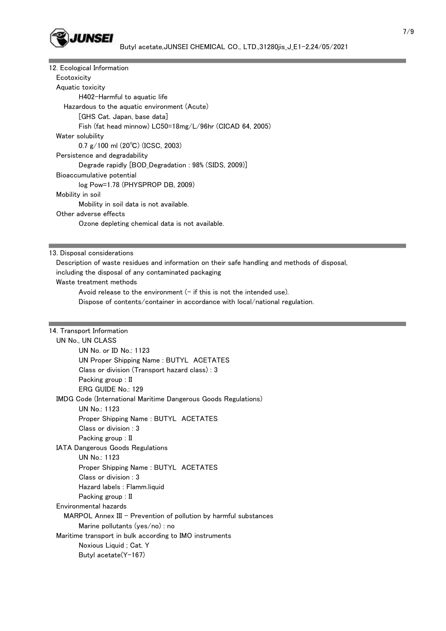

| 12. Ecological Information                                       |
|------------------------------------------------------------------|
| Ecotoxicity                                                      |
| Aquatic toxicity                                                 |
| H402-Harmful to aguatic life                                     |
| Hazardous to the aquatic environment (Acute)                     |
| [GHS Cat. Japan, base data]                                      |
| Fish (fat head minnow) $L C50=18$ mg/ $L/96$ hr (CICAD 64, 2005) |
| Water solubility                                                 |
| 0.7 $g/100$ ml (20°C) (ICSC, 2003)                               |
| Persistence and degradability                                    |
| Degrade rapidly [BOD_Degradation: 98% (SIDS, 2009)]              |
| Bioaccumulative potential                                        |
| $log Pow=1.78$ (PHYSPROP DB, 2009)                               |
| Mobility in soil                                                 |
| Mobility in soil data is not available.                          |
| Other adverse effects                                            |
| Ozone depleting chemical data is not available.                  |
|                                                                  |

13. Disposal considerations

Description of waste residues and information on their safe handling and methods of disposal,

including the disposal of any contaminated packaging

Waste treatment methods

Avoid release to the environment  $(-$  if this is not the intended use).

Dispose of contents/container in accordance with local/national regulation.

# 14. Transport Information

| UN No., UN CLASS                                                      |  |
|-----------------------------------------------------------------------|--|
| UN No. or ID No.: 1123                                                |  |
| UN Proper Shipping Name: BUTYL ACETATES                               |  |
| Class or division (Transport hazard class) : 3                        |  |
| Packing group : II                                                    |  |
| ERG GUIDE No.: 129                                                    |  |
| <b>IMDG Code (International Maritime Dangerous Goods Regulations)</b> |  |
| UN No.: 1123                                                          |  |
| Proper Shipping Name: BUTYL ACETATES                                  |  |
| Class or division: 3                                                  |  |
| Packing group : II                                                    |  |
| <b>IATA Dangerous Goods Regulations</b>                               |  |
| UN No.: 1123                                                          |  |
| Proper Shipping Name: BUTYL ACETATES                                  |  |
| Class or division: 3                                                  |  |
| Hazard labels: Flamm.liquid                                           |  |
| Packing group : II                                                    |  |
| Environmental hazards                                                 |  |
| $MAPOL$ Annex III – Prevention of pollution by harmful substances     |  |
| Marine pollutants (yes/no) : no                                       |  |
| Maritime transport in bulk according to IMO instruments               |  |
| Noxious Liquid ; Cat. Y                                               |  |
| Butyl acetate(Y-167)                                                  |  |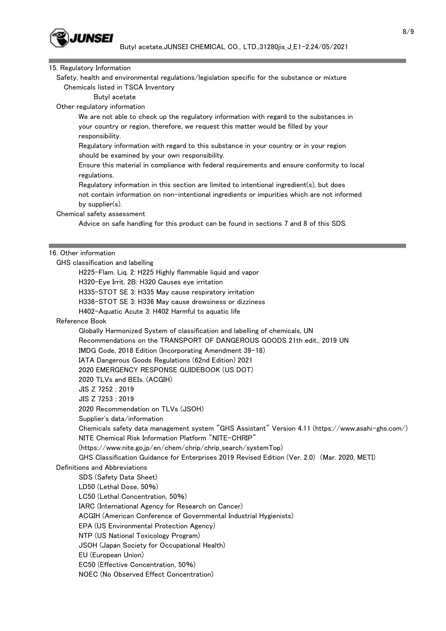

# 15. Regulatory Information

 Safety, health and environmental regulations/legislation specific for the substance or mixture Chemicals listed in TSCA Inventory

Butyl acetate

Other regulatory information

 We are not able to check up the regulatory information with regard to the substances in your country or region, therefore, we request this matter would be filled by your responsibility.

 Regulatory information with regard to this substance in your country or in your region should be examined by your own responsibility.

 Ensure this material in compliance with federal requirements and ensure conformity to local regulations.

 Regulatory information in this section are limited to intentional ingredient(s), but does not contain information on non-intentional ingredients or impurities which are not informed by supplier(s).

Chemical safety assessment

Advice on safe handling for this product can be found in sections 7 and 8 of this SDS.

### 16. Other information

 GHS classification and labelling H225-Flam. Liq. 2: H225 Highly flammable liquid and vapor H320-Eye Irrit. 2B: H320 Causes eye irritation H335-STOT SE 3: H335 May cause respiratory irritation H336-STOT SE 3: H336 May cause drowsiness or dizziness H402-Aquatic Acute 3: H402 Harmful to aquatic life Reference Book Globally Harmonized System of classification and labelling of chemicals, UN Recommendations on the TRANSPORT OF DANGEROUS GOODS 21th edit., 2019 UN IMDG Code, 2018 Edition (Incorporating Amendment 39-18) IATA Dangerous Goods Regulations (62nd Edition) 2021 2020 EMERGENCY RESPONSE GUIDEBOOK (US DOT) 2020 TLVs and BEIs. (ACGIH) JIS Z 7252 : 2019 JIS Z 7253 : 2019 2020 Recommendation on TLVs (JSOH) Supplier's data/information Chemicals safety data management system "GHS Assistant" Version 4.11 (https://www.asahi-ghs.com/) NITE Chemical Risk Information Platform "NITE-CHRIP" (https://www.nite.go.jp/en/chem/chrip/chrip\_search/systemTop) GHS Classification Guidance for Enterprises 2019 Revised Edition (Ver. 2.0) (Mar. 2020, METI) Definitions and Abbreviations SDS (Safety Data Sheet) LD50 (Lethal Dose, 50%) LC50 (Lethal Concentration, 50%) IARC (International Agency for Research on Cancer) ACGIH (American Conference of Governmental Industrial Hygienists) EPA (US Environmental Protection Agency) NTP (US National Toxicology Program) JSOH (Japan Society for Occupational Health) EU (European Union) EC50 (Effective Concentration, 50%) NOEC (No Observed Effect Concentration)